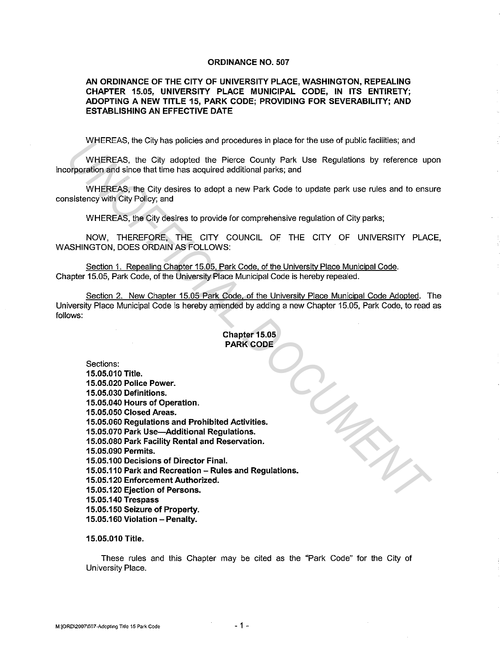#### ORDINANCE NO. 507

# AN ORDINANCE OF THE CITY OF UNIVERSITY PLACE, WASHINGTON, REPEALING CHAPTER 15.05, UNIVERSITY PLACE MUNICIPAL CODE, IN ITS ENTIRETY; ADOPTING A NEW TITLE 15, PARK CODE; PROVIDING FOR SEVERABILITY; AND ESTABLISHING AN EFFECTIVE DATE

WHEREAS, the City has policies and procedures in place for the use of public facilities; and

WHEREAS, the City adopted the Pierce County Park Use Regulations by reference upon incorporation and since that time has acquired additional parks; and

WHEREAS, the City desires to adopt a new Park Code to update park use rules and to ensure consistency with City Policy; and

WHEREAS, the City desires to provide for comprehensive regulation of City parks;

NOW, THEREFORE, THE CITY COUNCIL OF THE CITY OF UNIVERSITY PLACE, WASHINGTON, DOES ORDAIN AS FOLLOWS:

Section 1. Repealing Chapter 15.05, Park Code. of the University Place Municipal Code. Chapter 15.05, Park Code, of the University Place Municipal Code is hereby repealed.

Section 2. New Chapter 15.05 Park Code. of the University Place Municipal Code Adopted. The University Place Municipal Code is hereby amended by adding a new Chapter 15.05, Park Code, to read as follows:

# Chapter 15.05 PARK CODE

Sections: 15.05.010 Title. 15.05.020 Police Power. 15.05.030 Definitions. 15.05.040 Hours of Operation. 15.05.050 Closed Areas. 15.05.060 Regulations and Prohibited Activities. 15.05.070 Park Use-Additional Regulations. 15.05.080 Park Facility Rental and Reservation. 15.05.090 Permits. 15.05.100 Decisions of Director Final. 15.05.110 Park and Recreation - Rules and Regulations. 15.05.120 Enforcement Authorized. 15.05.120 Ejection of Persons. 15.05.140 Trespass 15.05.150 Seizure of Property. 15.05.160 Violation - Penalty. *UNOFFICIAL DOCUMENT*

#### 15.05.010 Title.

These rules and this Chapter may be cited as the "Park Code" for the City of University Place.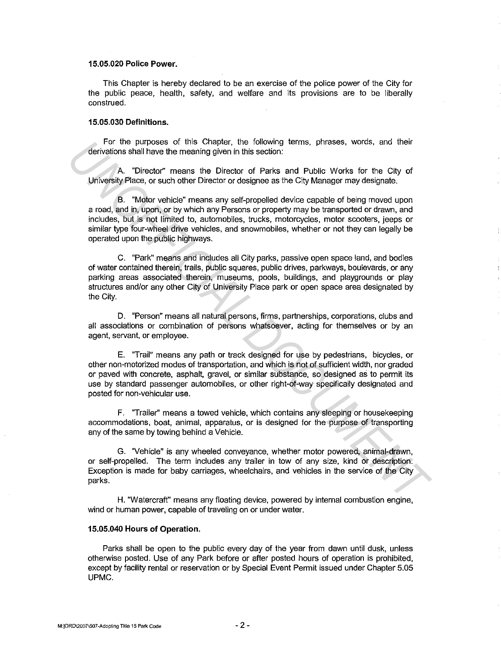# **15.05.020 Police Power.**

This Chapter is hereby declared to be an exercise of the police power of the City for the public peace, health, safety, and welfare and its provisions are to be liberally construed.

### **15.05.030 Definitions.**

For the purposes of this Chapter, the following terms, phrases, words, and their derivations shall have the meaning given in this section:

A. "Director'' means the Director of Parks and Public Works for the City of University Place, or such other Director or designee as the City Manager may designate.

B. "Motor vehicle" means any self-propelled device capable of being moved upon a road, and in, upon, or by which any Persons or property may be transported or drawn, and includes, but is not limited to, automobiles, trucks, motorcycles, motor scooters, jeeps or similar type four-wheel drive vehicles, and snowmobiles, whether or not they can legally be operated upon the public highways.

C. "Park" means and includes all City parks, passive open space land, and bodies of water contained therein, trails, public squares, public drives, parkways, boulevards, or any parking areas associated therein, museums, pools, buildings, and playgrounds or play structures and/or any other City of University Place park or open space area designated by the City. For the purposes of this Chapter, the blowing terms, phrases, words, and their<br>derivations shall have the meaning given in this section:<br>A. "Director" means the Director of Parks and Public Works for the City of<br>University

D. "Person" means all natural persons, firms, partnerships, corporations, clubs and all associations or combination of persons whatsoever, acting for themselves or by an agent, servant, or employee.

E. "Trail" means any path or track designed for use by pedestrians, bicycles, or other non-motorized modes of transportation, and which is not of sufficient width, nor graded or paved with concrete, asphalt, gravel, or similar substance, so designed as to permit its use by standard passenger automobiles, or other right-of-way specifically designated and posted for non-vehicular use.

F. ''Trailer'' means a towed vehicle, which contains any sleeping or housekeeping accommodations, boat, animal, apparatus, or is designed for the purpose of transporting any of the same by towing behind a Vehicle.

G. "Vehicle" is any wheeled conveyance, whether motor powered, animal-drawn, or self-propelled. The term includes any trailer in tow of any size, kind or description. Exception is made for baby carriages, wheelchairs, and vehicles in the service of the City parks.

H. "Watercraft'' means any floating device, powered by internal combustion engine, wind or human power, capable of traveling on or under water.

# **15.05.040 Hours of Operation.**

Parks shall be open to the public every day of the year from dawn until dusk, unless otherwise posted. Use of any Park before or after posted hours of operation is prohibited, except by facility rental or reservation or by Special Event Permit issued under Chapter 5.05 UPMC.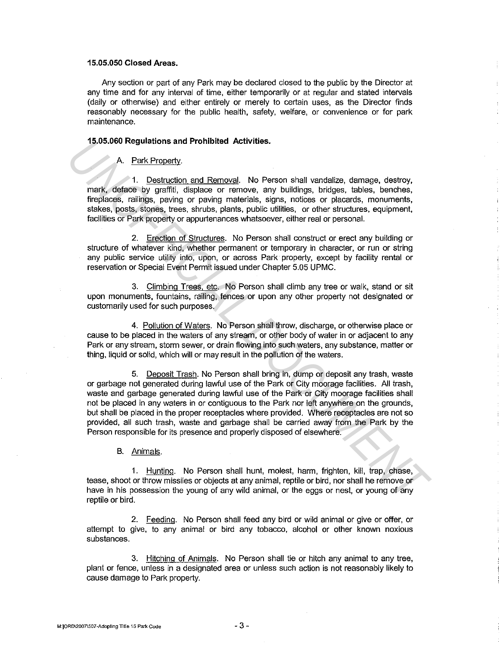# **15.05.050 Closed Areas.**

Any section or part of any Park may be declared closed to the public by the Director at any time and for any interval of time, either temporarily or at regular and stated intervals {daily or otherwise) and either entirely or merely to certain uses, as the Director finds reasonably necessary for the public health, safety, welfare, or convenience or for park maintenance.

#### **15.05.060 Regulations and Prohibited Activities.**

# A. Park Property.

1. Destruction and Removal. No Person shall vandalize, damage, destroy, mark, deface by graffiti, displace or remove, any buildings, bridges, tables, benches, fireplaces, railings, paving or paving materials, signs, notices or placards, monuments, stakes, posts, stones, trees, shrubs, plants, public utilities, or other structures, equipment, facilities or Park property or appurtenances whatsoever, either real or personal.

2. Erection of Structures. No Person shall construct or erect any building or structure of whatever kind, whether permanent or temporary in character, or run or string any public service utility into, upon, or across Park property, except by facility rental or reservation or Special Event Permit issued under Chapter 5.05 UPMC.

3. Climbing Trees, etc. No Person shall climb any tree or walk, stand or sit upon monuments, fountains, railing, fences or upon any other property not designated or customarily used for such purposes.

4. Pollution of Waters. No Person shall throw, discharge, or otherwise place or cause to be placed in the waters of any stream, or other body of water in or adjacent to any Park or any stream, storm sewer, or drain flowing into such waters, any substance, matter or thing, liquid or solid, which will or may result in the pollution of the waters.

5. Deposit Trash. No Person shall bring in, dump or deposit any trash, waste or garbage not generated during lawful use of the Park or City moorage facilities. All trash, waste and garbage generated during lawful use of the Park or City moorage facilities shall not be placed in any waters in or contiguous to the Park nor left anywhere on the grounds, but shall be placed in the proper receptacles where provided. Where receptacles are not so provided, all such trash, waste and garbage shall be carried away from the Park by the Person responsible for its presence and properly disposed of elsewhere. **19.05.060 Regulations and Prohibited Activities.**<br> **A** Perk Property, 11. Destruction and Removal. No Person shall vandalize, damage, destroy, mark, defects by graffill, displace or remove, any buildings, bridges, tables,

B. Animals.

1. Hunting. No Person shall hunt, molest, harm, frighten, kill, trap, chase, tease, shoot or throw missiles or objects at any animal, reptile or bird, nor shall he remove or have in his possession the young of any wild animal, or the eggs or nest, or young of any reptile or bird.

2. Feeding. No Person shall feed any bird or wild animal or give or offer, or attempt to give, to any animal or bird any tobacco, alcohol or other known noxious substances.

3. Hitching of Animals. No Person shall tie or hitch any animal to any tree, plant or fence, unless in a designated area or unless such action is not reasonably likely to cause damage to Park property.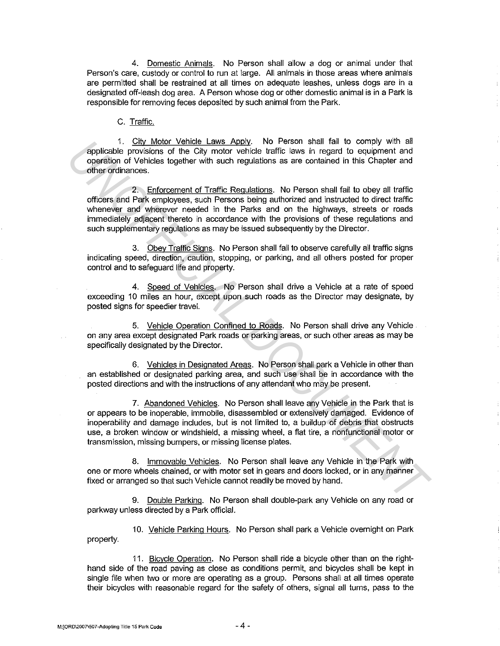4. Domestic Animals. No Person shall allow a dog or animal under that Person's care, custody or control to run at large. All animals in those areas where animals are permitted shall be restrained at all times on adequate leashes, unless dogs are in a designated off-leash dog area. A Person whose dog or other domestic animal is in a Park is responsible for removing feces deposited by such animal from the Park.

# C. Traffic.

1. City Motor Vehicle Laws Apply. No Person shall fail to comply with all applicable provisions of the City motor vehicle traffic laws in regard to equipment and operation of Vehicles together with such regulations as are contained in this Chapter and other ordinances.

2. Enforcement of Traffic Regulations. No Person shall fail to obey all traffic officers and Park employees, ·such Persons being authorized and instructed to direct traffic whenever and wherever needed in the Parks and on the highways, streets or roads immediately adjacent thereto in accordance with the provisions of these regulations and such supplementary regulations as may be issued subsequently by the Director.

3. Obey Traffic Signs. No Person shall fail to observe carefully all traffic signs indicating speed, direction, caution, stopping, or parking, and all others posted for proper control and to safeguard life and property.

4. Speed of Vehicles. No Person shall drive a Vehicle at a rate of speed exceeding 10 miles an hour, except upon such roads as the Director may designate, by posted signs for speedier travel.

5. Vehicle Operation Confined to Roads. No Person shall drive any Vehicle on any area except designated Park roads or parking areas, or such other areas as may be specifically designated by the Director.

6. Vehicles in Designated Areas. No Person shall park a Vehicle in other than an established or designated parking area, and such use shall be in accordance with the posted directions and with the instructions of any attendant who may be present.

7. Abandoned Vehicles. No Person shall leave any Vehicle in the Park that is or appears to be inoperable, immobile, disassembled or extensively damaged. Evidence of inoperability and damage includes, but is not limited to, a buildup of debris that obstructs use, a broken window or windshield, a missing wheel, a fiat tire, a nonfunctional motor or transmission, missing bumpers, or missing license plates. <sup>11</sup>. <u>Click Motor Venicle Leavs Apply.</u> No Person shall tall to comply with a<br>doperation of vehicles together with such regulations as are contained in this Chapter and<br>other ordinances.<br>The Comparison of the City motor v

8. Immovable Vehicles. No Person shall leave any Vehicle in the Park with one or more wheels chained, or with motor set in gears and doors locked, or in any manner fixed or arranged so that such Vehicle cannot readily be moved by hand.

9. Double Parking. No Person shall double-park any Vehicle on any road or parkway unless directed by a Park official.

10. Vehicle Parking Hours. No Person shall park a Vehicle overnight on Park property.

11. Bicycle Operation. No Person shall ride a bicycle other than on the righthand side of the road paving as close as conditions permit, and bicycles shall be kept in single file when two or more are operating as a group. Persons shall at all times operate their bicycles with reasonable regard for the safety of others, signal all turns, pass to the

**M:JORD\2007\507-Adopting Title 15 Park Code -4 -**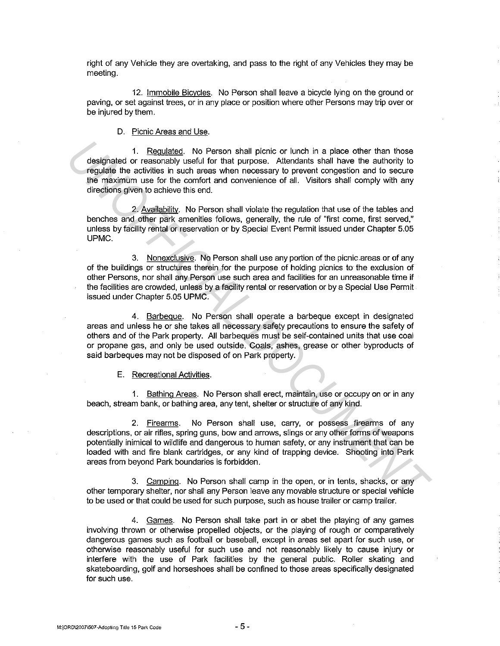right of any Vehicle they are overtaking, and pass to the right of any Vehicles they may be meeting.

12. Immobile Bicycles. No Person shall leave a bicycle lying on the ground or paving, or set against trees, or in any place or position where other Persons may trip over or be injured by them.

D. Picnic Areas and Use.

1. Regulated. No Person shall picnic or lunch in a place other than those designated or reasonably useful for that purpose. Attendants shall have the authority to regulate the activities in such areas when necessary to prevent congestion and to secure the maximum use for the comfort and convenience of all. Visitors shall comply with any directions given to achieve this end.

2. Availabilitv. No Person shall violate the regulation that use of the tables and benches and other park amenities follows, generally, the rule of "first come, first served," unless by facility rental or reservation or by Special Event Permit issued under Chapter 5.05 UPMC.

3. Nonexclusive. No Person shall use any portion of the picnic areas or of any of the buildings or structures therein for the purpose of holding picnics to the exclusion of other Persons, nor shall any Person use such area and facilities for an unreasonable time if the facilities are crowded, unless by a facility rental or reservation or by a Special Use Permit issued under Chapter 5.05 UPMC.

4. Barbeque. No Person shall operate a barbeque except in designated areas and unless he or she takes all necessary safety precautions to ensure the safety of others and of the Park property. All barbeques must be self-contained units that use coal or propane gas, and only be used outside. Coals, ashes, grease or other byproducts of said barbeques may not be disposed of on Park property.

E. Recreational Activities.

1. Bathing Areas. No Person shall erect, maintain, use or occupy on or in any beach, stream bank, or bathing area, any tent, shelter or structure of any kind.

2. Firearms. No Person shall use, carry, or possess firearms of any descriptions, or air rifies, spring guns, bow and arrows, slings or any other forms of weapons potentially inimical to wildlife and dangerous to human safety, or any instrument that can be loaded with and fire blank cartridges, or any kind of trapping device. Shooting into Park areas from beyond Park boundaries is forbidden. 1. <u>Requisited</u>. No Person shall picnic or lunch in a place other than those<br>
designated or ressonably uselul for that purpose. Altendants shall have the authority to<br>
requisite the control mass when nocessary to prevent c

3. Camping. No Person shall camp in the open, or in tents, shacks, or any other temporary shelter, nor shall any Person leave any movable structure or special vehicle to be used or that could be used for such purpose, such as house trailer or camp trailer.

4. Games. No Person shall take part in or abet the playing of any games involving thrown or otherwise propelled objects, or the playing of rough or comparatively dangerous games such as football or baseball, except in areas set apart for such use, or otherwise reasonably useful for such use and not reasonably likely to cause injury or interfere with the use of Park facilities by the general public. Roller skating and skateboarding, golf and horseshoes shall be confined to those areas specifically designated for such use.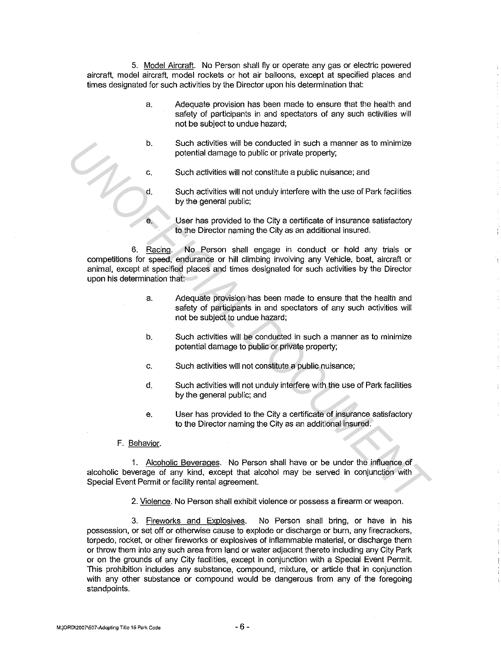5. Model Aircraft. No Person shall fiy or operate any gas or electric powered aircraft, model aircraft, model rockets or hot air balloons, except at specified places and times designated for such activities by the Director upon his determination that:

- a. Adequate provision has been made to ensure that the health and safety of participants in and spectators of any such activities will not be subject to undue hazard;
- b. Such activities will be conducted in such a manner as to minimize potential damage to public or private property;
- c. Such activities will not constitute a public nuisance; and
- d. Such activities will not unduly interfere with the use of Park facilities by the general public;
- e. User has provided to the City a certificate of insurance satisfactory to the Director naming the City as an additional insured.

6. Racing. No Person shall engage in conduct or hold any trials or competitions for speed, endurance or hill climbing involving any Vehicle, boat, aircraft or animal, except at specified places and times designated for such activities by the Director upon his determination that: **Studients will be conducted in such a manner as to minimize**<br> **Studient and the conducted in such a manner as to minimize**<br> **C.** Studient activities will not constitute a public nuisance; and<br> **C.** Studient activities wil

- a. Adequate provision has been made to ensure that the health and safety of participants in and spectators of any such activities will not be subject to undue hazard;
- b. Such activities will be conducted in such a manner as to minimize potential damage to public or private property;
- c. Such activities will not constitute a public nuisance;
- d. Such activities will not unduly interfere with the use of Park facilities by the general public; and
- e. User has provided to the City a certificate of insurance satisfactory to the Director naming the City as an additional insured.

#### F. Behavior.

1. Alcoholic Beverages. No Person shall have or be under the infiuence of alcoholic beverage of any kind, except that alcohol may be served in conjunction with Special Event Permit or facility rental agreement.

2. Violence. No Person shall exhibit violence or possess a firearm or weapon.

3. Fireworks and Explosives. No Person shall bring, or have in his possession, or set off or otherwise cause to explode or discharge or burn, any firecrackers, torpedo, rocket, or other fireworks or explosives of infiammable material, or discharge them or throw them into any such area from land or water adjacent thereto including any City Park or on the grounds of any City facilities, except in conjunction with a Special Event Permit. This prohibition includes any substance, compound, mixture, or article that in conjunction with any other substance or compound would be dangerous from any of the foregoing standpoints.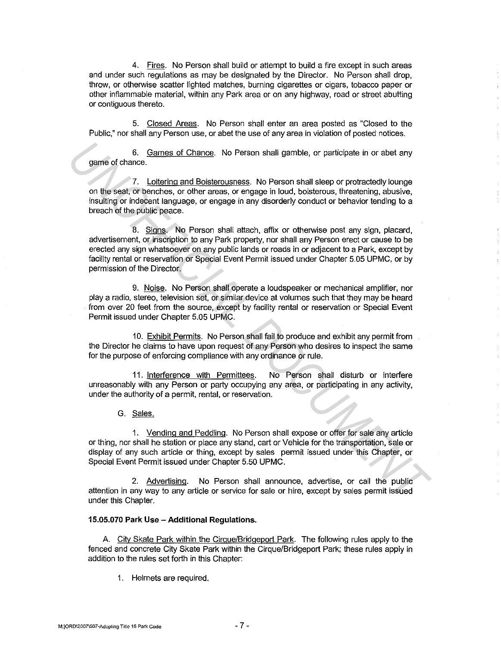4. Fires. No Person shall build or attempt to build a fire except in such areas and under such regulations as may be designated by the Director. No Person shall drop, throw, or otherwise scatter lighted matches, burning cigarettes or cigars, tobacco paper or other inflammable material, within any Park area or on any highway, road or street abutting or contiguous thereto.

5. Closed Areas. No Person shall enter an area posted as "Closed to the Public," nor shall any Person use, or abet the use of any area in violation of posted notices.

6. Games of Chance. No Person shall gamble, or participate in or abet any game of chance.

7. Loitering and Boisterousness. No Person shall sleep or protractedly lounge on the seat, or benches, or other areas, or engage in loud, boisterous, threatening, abusive, insulting or indecent language, or engage in any disorderly conduct or behavior tending to a breach of the public peace.

8. Signs. No Person shall attach, affix or otherwise post any sign, placard, advertisement, or inscription to any Park property, nor shall any Person erect or cause to be erected any sign whatsoever on any public lands or roads in or adjacent to a Park, except by facility rental or reservation or Special Event Permit issued under Chapter 5.05 UPMC, or by permission of the Director. 6. <u>Games of Chance</u>. No Person shall gamble, or participate in or abet any<br>game of chance.<br>The sease, or benches, or other areas, or engage in loud, bolaterous, threatening, abusive,<br>insulting or independent language, or

9. Noise. No Person shall operate a loudspeaker or mechanical amplifier, nor play a radio, stereo, television set, or similar device at volumes such that they may be heard from over 20 feet from the source, except by facility rental or reservation or Special Event Permit issued under Chapter 5.05 UPMC.

10. Exhibit Permits. No Person shall fail to produce and exhibit any permit from the Director he claims to have upon request of any Person who desires to inspect the same for the purpose of enforcing compliance with any ordinance or rule.

11. Interference with Permittees. No Person shall disturb or interfere unreasonably with any Person or party occupying any area, or participating in any activity, under the authority of a permit, rental, or reservation.

G. Sales.

1. Vending and Peddling. No Person shall expose or offer for sale any article or thing, nor shall he station or place any stand, cart or Vehicle for the transportation, sale or display of any such article or thing, except by sales permit issued under this Chapter, or Special Event Permit issued under Chapter 5.50 UPMC.

2. Advertising. No Person shall announce, advertise, or call the public attention in any way to any article or service for sale or hire, except by sales permit issued under this Chapter.

# **15.05.070 Park Use-Additional Regulations.**

A. City Skate Park within the Cirque/Bridgeport Park. The following rules apply to the fenced and concrete City Skate Park within the Cirque/Bridgeport Park; these rules apply in addition to the rules set forth in this Chapter:

1. Helmets are required.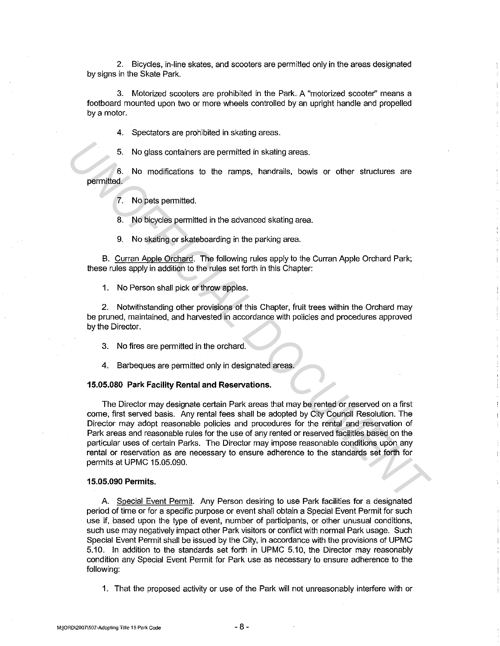2. Bicycles, in-line skates, and scooters are permitted only in the areas designated by signs in the Skate Park.

3. Motorized scooters are prohibited in the Park. A "motorized scooter" means a footboard mounted upon two or more wheels controlled by an upright handle and propelled by a motor.

4. Spectators are prohibited in skating areas.

No glass containers are permitted in skating areas.

6. No modifications to the ramps, handrails, bowls or other structures are permitted.

7. No pets permitted.

8. No bicycles permitted in the advanced skating area.

9. No skating or skateboarding in the parking area.

B. Curran Apple Orchard. The following rules apply to the Curran Apple Orchard Park; these rules apply in addition to the rules set forth in this Chapter:

1. No Person shall pick or throw apples.

2. Notwithstanding other provisions of this Chapter, fruit trees within the Orchard may be pruned, maintained, and harvested in accordance with policies and procedures approved by the Director.

3. No fires are permitted in the orchard.

4. Barbeques are permitted only in designated areas.

#### **15.05.080 Park Facility Rental and Reservations.**

The Director may designate certain Park areas that may be rented or reserved on a first come, first served basis. Any rental fees shall be adopted by City Council Resolution. The Director may adopt reasonable policies and procedures for the rental and reservation of Park areas and reasonable rules for the use of any rented or reserved facilities based on the particular uses of certain Parks. The Director may impose reasonable conditions upon any rental or reservation as are necessary to ensure adherence to the standards set forth for permits at UPMC 15.05.090. **E.** No glass containers are permitted in skating areas.<br> **E.** No modifications to the ramps, handfalls, bowls or other structures are<br> **T.** No pets permitted.<br> **E.** No blogodes permitted.<br> **E.** Ourran Agole Orchard Park;<br>

# **15.05.090 Permits.**

A Special Event Permit. Any Person desiring to use Park facilities for a designated period of time or for a specific purpose or event shall obtain a Special Event Permit for such use if, based upon the type of event, number of participants, or other unusual conditions, such use may negatively impact other Park visitors or conflict with normal Park usage. Such Special Event Permit shall be issued by the City, in accordance with the provisions of UPMC 5.10. In addition to the standards set forth in UPMC 5.10, the Director may reasonably condition any Special Event Permit for Park use as necessary to ensure adherence to the following:

1. That the proposed activity or use of the Park will not unreasonably interfere with or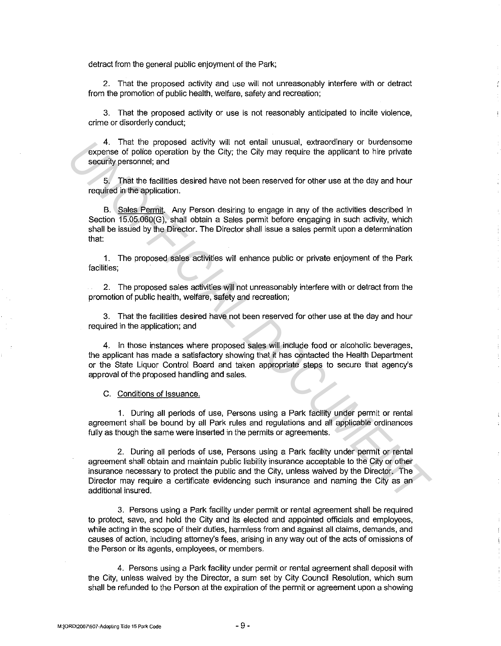detract from the general public enjoyment of the Park;

2. That the proposed activity and use will not unreasonably interfere with or detract from the promotion of public health, welfare, safety and recreation;

3. That the proposed activity or use is not reasonably anticipated to incite violence, crime or disorderly conduct;

4. That the proposed activity will not entail unusual, extraordinary or burdensome expense of police operation by the City; the City may require the applicant to hire private security personnel; and

That the facilities desired have not been reserved for other use at the day and hour required in the application.

B. Sales Permit. Any Person desiring to engage in any of the activities described in Section 15.05.060(G), shall obtain a Sales permit before engaging in such activity, which shall be issued by the Director. The Director shall issue a sales permit upon a determination that:

1. The proposed sales activities will enhance public or private enjoyment of the Park facilities;

2. The proposed sales activities will not unreasonably interfere with or detract from the promotion of public health, welfare, safety and recreation;

3. That the facilities desired have not been reserved for other use at the day and hour required in the application; and

4. In those instances where proposed sales will include food or alcoholic beverages, the applicant has made a satisfactory showing that it has contacted the Health Department or the State Liquor Control Board and taken appropriate steps to secure that agency's approval of the proposed handling and sales.

C. Conditions of Issuance.

1. During all periods of use, Persons using a Park facility under permit or rental agreement shall be bound by all Park rules and regulations and all applicable ordinances fully as though the same were inserted in the permits or agreements.

2. During all periods of use, Persons using a Park facility under permit or rental agreement shall obtain and maintain public liability insurance acceptable to the City or other insurance necessary to protect the public and the City, unless waived by the Director. The Director may require a certificate evidencing such insurance and naming the City as an additional insured. 4. That the proposed sate with wall no the neislal unusual, excreasionary or burdensome changed carbidy sersonne; and<br>
5. That he facilities desired have not been reserved for other use at the day and hour<br>
required in the

3. Persons using a Park facility under permit or rental agreement shall be required to protect, save, and hold the City and its elected and appointed officials and employees, while acting in the scope of their duties, harmless from and against all claims, demands, and causes of action, including attorney's fees, arising in any way out of the acts of omissions of the Person or its agents, employees, or members.

4. Persons using a Park facility under permit or rental agreement shall deposit with the City, unless waived by the Director, a sum set by City Council Resolution, which sum shall be refunded to the Person at the expiration of the permit or agreement upon a showing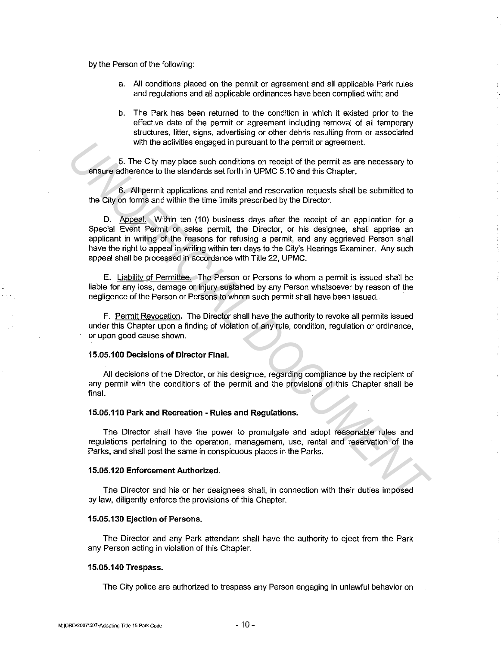by the Person of the following:

- a. All conditions placed on the permit or agreement and all applicable Park rules and regulations and all applicable ordinances have been complied with; and
- b. The Park has been returned to the condition in which it existed prior to the effective date of the permit or agreement including removal of all temporary structures, litter, signs, advertising or other debris resulting from or associated with the activities engaged in pursuant to the permit or agreement.

5. The City may place such conditions on receipt of the permit as are necessary to ensure adherence to the standards set forth in UPMC 5.10 and this Chapter.

6. All permit applications and rental and reservation requests shall be submitted to the City on forms and within the lime limits prescribed by the Director.

D. Appeal. Within ten (10) business days after the receipt of an application for a Special Event Permit or sales permit, the Director, or his designee, shall apprise an applicant in writing of the reasons for refusing a permit, and any aggrieved Person shall have the right to appeal in writing within ten days to the City's Hearings Examiner. Any such appeal shall be processed in accordance with Title 22, UPMC. with the echwite's engaged in pursuant to the permit or spreement.<br> **E.** The City may place such conditions on receipt of the permit as are necessary to<br> **E.** The City on forms and within the time limits prescribed by the

E. Liabilitv of Permittee. The Person or Persons to whom a permit is issued shall be liable for any loss, damage or injury sustained by any Person whatsoever by reason of the negligence of the Person or Persons to whom such permit shall have been issued,

F. Permit Revocation. The Director shall have the authority to revoke all permits issued under this Chapter upon a finding of violation of any rule, condition, regulation or ordinance, or upon good cause shown.

#### **15.05.100 Decisions of Director Final.**

All decisions of the Director, or his designee, regarding compliance by the recipient of any permit with the conditions of the permit and the provisions of this Chapter shall be final.

#### **15.05.110 Park and Recreation - Rules and Regulations.**

The Director shall have the power to promulgate and adopt reasonable rules and regulations pertaining to the operation, management, use, rental and reservation of the Parks, and shall post the same in conspicuous places in the Parks.

### **15.05.120 Enforcement Authorized.**

The Director and his or her designees shall, in connection with their duties imposed by law, diligently enforce the provisions of this Chapter.

# **15.05.130 Ejection of Persons.**

The Director and any Park attendant shall have the authority to eject from the Park any Person acting in violation of this Chapter.

#### **15.05.140 Trespass.**

The City police are authorized to trespass any Person engaging in unlawful behavior on